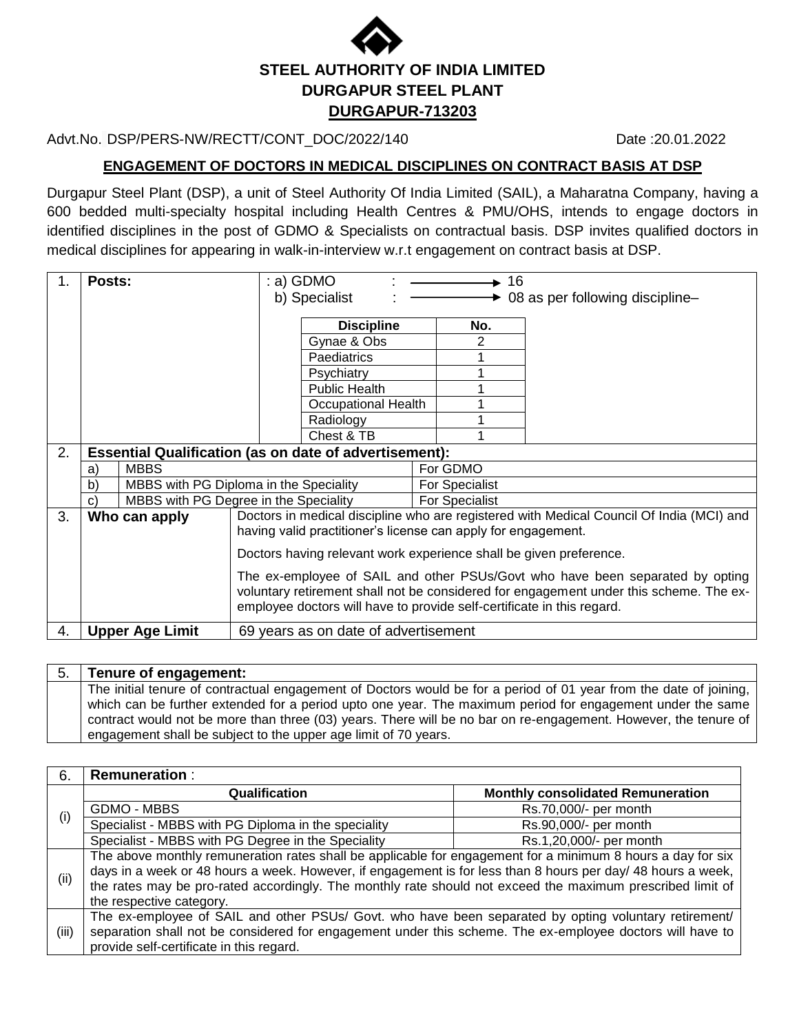

### Advt.No. DSP/PERS-NW/RECTT/CONT\_DOC/2022/140 Date :20.01.2022

**ENGAGEMENT OF DOCTORS IN MEDICAL DISCIPLINES ON CONTRACT BASIS AT DSP**

Durgapur Steel Plant (DSP), a unit of Steel Authority Of India Limited (SAIL), a Maharatna Company, having a 600 bedded multi-specialty hospital including Health Centres & PMU/OHS, intends to engage doctors in identified disciplines in the post of GDMO & Specialists on contractual basis. DSP invites qualified doctors in medical disciplines for appearing in walk-in-interview w.r.t engagement on contract basis at DSP.

|    | Posts:       |                                                               |                                                                               | : a) GDMO                                                              |  | 16             |                                                                                          |  |  |  |
|----|--------------|---------------------------------------------------------------|-------------------------------------------------------------------------------|------------------------------------------------------------------------|--|----------------|------------------------------------------------------------------------------------------|--|--|--|
|    |              |                                                               |                                                                               | b) Specialist                                                          |  |                | 08 as per following discipline-                                                          |  |  |  |
|    |              |                                                               |                                                                               | <b>Discipline</b>                                                      |  | No.            |                                                                                          |  |  |  |
|    |              |                                                               |                                                                               | Gynae & Obs                                                            |  | 2              |                                                                                          |  |  |  |
|    |              |                                                               |                                                                               | Paediatrics                                                            |  |                |                                                                                          |  |  |  |
|    |              |                                                               |                                                                               | Psychiatry                                                             |  |                |                                                                                          |  |  |  |
|    |              |                                                               |                                                                               | <b>Public Health</b>                                                   |  |                |                                                                                          |  |  |  |
|    |              |                                                               |                                                                               | Occupational Health                                                    |  |                |                                                                                          |  |  |  |
|    |              |                                                               |                                                                               | Radiology                                                              |  |                |                                                                                          |  |  |  |
|    |              |                                                               |                                                                               | Chest & TB                                                             |  |                |                                                                                          |  |  |  |
| 2. |              | <b>Essential Qualification (as on date of advertisement):</b> |                                                                               |                                                                        |  |                |                                                                                          |  |  |  |
|    | a)           | <b>MBBS</b>                                                   |                                                                               |                                                                        |  | For GDMO       |                                                                                          |  |  |  |
|    | $\mathsf{b}$ | MBBS with PG Diploma in the Speciality                        |                                                                               | <b>For Specialist</b>                                                  |  |                |                                                                                          |  |  |  |
|    | $\mathbf{C}$ | MBBS with PG Degree in the Speciality                         |                                                                               |                                                                        |  | For Specialist |                                                                                          |  |  |  |
| 3. |              | Who can apply                                                 |                                                                               |                                                                        |  |                | Doctors in medical discipline who are registered with Medical Council Of India (MCI) and |  |  |  |
|    |              |                                                               |                                                                               | having valid practitioner's license can apply for engagement.          |  |                |                                                                                          |  |  |  |
|    |              |                                                               | Doctors having relevant work experience shall be given preference.            |                                                                        |  |                |                                                                                          |  |  |  |
|    |              |                                                               | The ex-employee of SAIL and other PSUs/Govt who have been separated by opting |                                                                        |  |                |                                                                                          |  |  |  |
|    |              |                                                               |                                                                               |                                                                        |  |                | voluntary retirement shall not be considered for engagement under this scheme. The ex-   |  |  |  |
|    |              |                                                               |                                                                               | employee doctors will have to provide self-certificate in this regard. |  |                |                                                                                          |  |  |  |
| 4. |              | <b>Upper Age Limit</b>                                        |                                                                               | 69 years as on date of advertisement                                   |  |                |                                                                                          |  |  |  |

#### 5. **Tenure of engagement:** The initial tenure of contractual engagement of Doctors would be for a period of 01 year from the date of joining, which can be further extended for a period upto one year. The maximum period for engagement under the same contract would not be more than three (03) years. There will be no bar on re-engagement. However, the tenure of engagement shall be subject to the upper age limit of 70 years.

| 6.    | <b>Remuneration:</b>                                                                                         |                                          |  |  |  |  |  |
|-------|--------------------------------------------------------------------------------------------------------------|------------------------------------------|--|--|--|--|--|
| (i)   | Qualification                                                                                                | <b>Monthly consolidated Remuneration</b> |  |  |  |  |  |
|       | GDMO - MBBS                                                                                                  | Rs.70,000/- per month                    |  |  |  |  |  |
|       | Specialist - MBBS with PG Diploma in the speciality                                                          | Rs.90,000/- per month                    |  |  |  |  |  |
|       | Specialist - MBBS with PG Degree in the Speciality                                                           | Rs.1,20,000/- per month                  |  |  |  |  |  |
|       | The above monthly remuneration rates shall be applicable for engagement for a minimum 8 hours a day for six  |                                          |  |  |  |  |  |
| (i)   | days in a week or 48 hours a week. However, if engagement is for less than 8 hours per day/ 48 hours a week, |                                          |  |  |  |  |  |
|       | the rates may be pro-rated accordingly. The monthly rate should not exceed the maximum prescribed limit of   |                                          |  |  |  |  |  |
|       | the respective category.                                                                                     |                                          |  |  |  |  |  |
|       | The ex-employee of SAIL and other PSUs/ Govt. who have been separated by opting voluntary retirement/        |                                          |  |  |  |  |  |
| (iii) | separation shall not be considered for engagement under this scheme. The ex-employee doctors will have to    |                                          |  |  |  |  |  |
|       | provide self-certificate in this regard.                                                                     |                                          |  |  |  |  |  |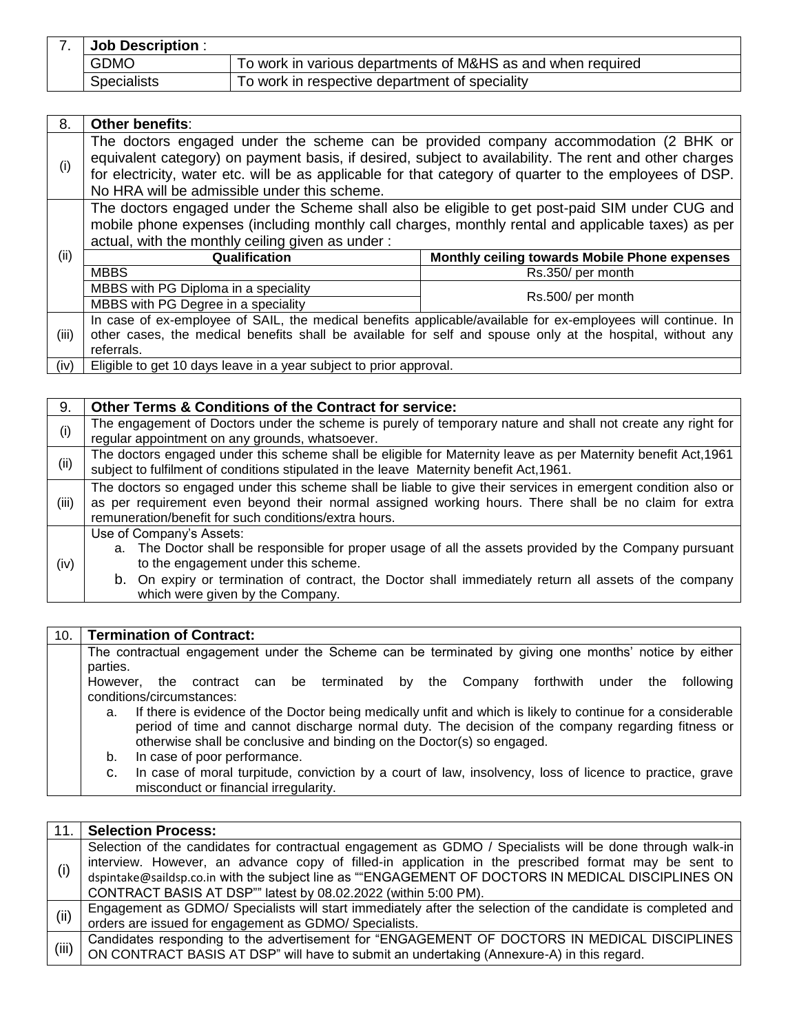| <b>Job Description:</b> |                                                             |
|-------------------------|-------------------------------------------------------------|
| <b>GDMO</b>             | To work in various departments of M&HS as and when required |
| Specialists             | To work in respective department of speciality              |

| 8.    | Other benefits:                                                                                                                                                                                                                                                                                                                                           |                                               |  |  |  |
|-------|-----------------------------------------------------------------------------------------------------------------------------------------------------------------------------------------------------------------------------------------------------------------------------------------------------------------------------------------------------------|-----------------------------------------------|--|--|--|
| (i)   | The doctors engaged under the scheme can be provided company accommodation (2 BHK or<br>equivalent category) on payment basis, if desired, subject to availability. The rent and other charges<br>for electricity, water etc. will be as applicable for that category of quarter to the employees of DSP.<br>No HRA will be admissible under this scheme. |                                               |  |  |  |
|       | The doctors engaged under the Scheme shall also be eligible to get post-paid SIM under CUG and<br>mobile phone expenses (including monthly call charges, monthly rental and applicable taxes) as per<br>actual, with the monthly ceiling given as under:                                                                                                  |                                               |  |  |  |
| (ii)  | Qualification                                                                                                                                                                                                                                                                                                                                             | Monthly ceiling towards Mobile Phone expenses |  |  |  |
|       | <b>MBBS</b>                                                                                                                                                                                                                                                                                                                                               | Rs.350/ per month                             |  |  |  |
|       | MBBS with PG Diploma in a speciality                                                                                                                                                                                                                                                                                                                      |                                               |  |  |  |
|       | MBBS with PG Degree in a speciality                                                                                                                                                                                                                                                                                                                       | Rs.500/ per month                             |  |  |  |
|       | In case of ex-employee of SAIL, the medical benefits applicable/available for ex-employees will continue. In                                                                                                                                                                                                                                              |                                               |  |  |  |
| (iii) | other cases, the medical benefits shall be available for self and spouse only at the hospital, without any                                                                                                                                                                                                                                                |                                               |  |  |  |
|       | referrals.                                                                                                                                                                                                                                                                                                                                                |                                               |  |  |  |
| (iv)  | Eligible to get 10 days leave in a year subject to prior approval.                                                                                                                                                                                                                                                                                        |                                               |  |  |  |

9. **Other Terms & Conditions of the Contract for service:** (i) The engagement of Doctors under the scheme is purely of temporary nature and shall not create any right for regular appointment on any grounds, whatsoever. The doctors engaged under this scheme shall be eligible for Maternity leave as per Maternity benefit Act,1961 subject to fulfilment of conditions stipulated in the leave Maternity benefit Act,1961. (iii) The doctors so engaged under this scheme shall be liable to give their services in emergent condition also or as per requirement even beyond their normal assigned working hours. There shall be no claim for extra remuneration/benefit for such conditions/extra hours. (iv) Use of Company's Assets: a. The Doctor shall be responsible for proper usage of all the assets provided by the Company pursuant to the engagement under this scheme. b. On expiry or termination of contract, the Doctor shall immediately return all assets of the company which were given by the Company.

### 10. **Termination of Contract:**

The contractual engagement under the Scheme can be terminated by giving one months' notice by either parties.

However, the contract can be terminated by the Company forthwith under the following conditions/circumstances:

a. If there is evidence of the Doctor being medically unfit and which is likely to continue for a considerable period of time and cannot discharge normal duty. The decision of the company regarding fitness or otherwise shall be conclusive and binding on the Doctor(s) so engaged.

b. In case of poor performance.

c. In case of moral turpitude, conviction by a court of law, insolvency, loss of licence to practice, grave misconduct or financial irregularity.

| 11.   | <b>Selection Process:</b>                                                                                                                                                                                                                                                                                                                                                                 |
|-------|-------------------------------------------------------------------------------------------------------------------------------------------------------------------------------------------------------------------------------------------------------------------------------------------------------------------------------------------------------------------------------------------|
| (i)   | Selection of the candidates for contractual engagement as GDMO / Specialists will be done through walk-in<br>interview. However, an advance copy of filled-in application in the prescribed format may be sent to<br>dspintake@saildsp.co.in with the subject line as ""ENGAGEMENT OF DOCTORS IN MEDICAL DISCIPLINES ON<br>CONTRACT BASIS AT DSP"" latest by 08.02.2022 (within 5:00 PM). |
| (i)   | Engagement as GDMO/ Specialists will start immediately after the selection of the candidate is completed and<br>orders are issued for engagement as GDMO/ Specialists.                                                                                                                                                                                                                    |
| (iii) | Candidates responding to the advertisement for "ENGAGEMENT OF DOCTORS IN MEDICAL DISCIPLINES<br>ON CONTRACT BASIS AT DSP" will have to submit an undertaking (Annexure-A) in this regard.                                                                                                                                                                                                 |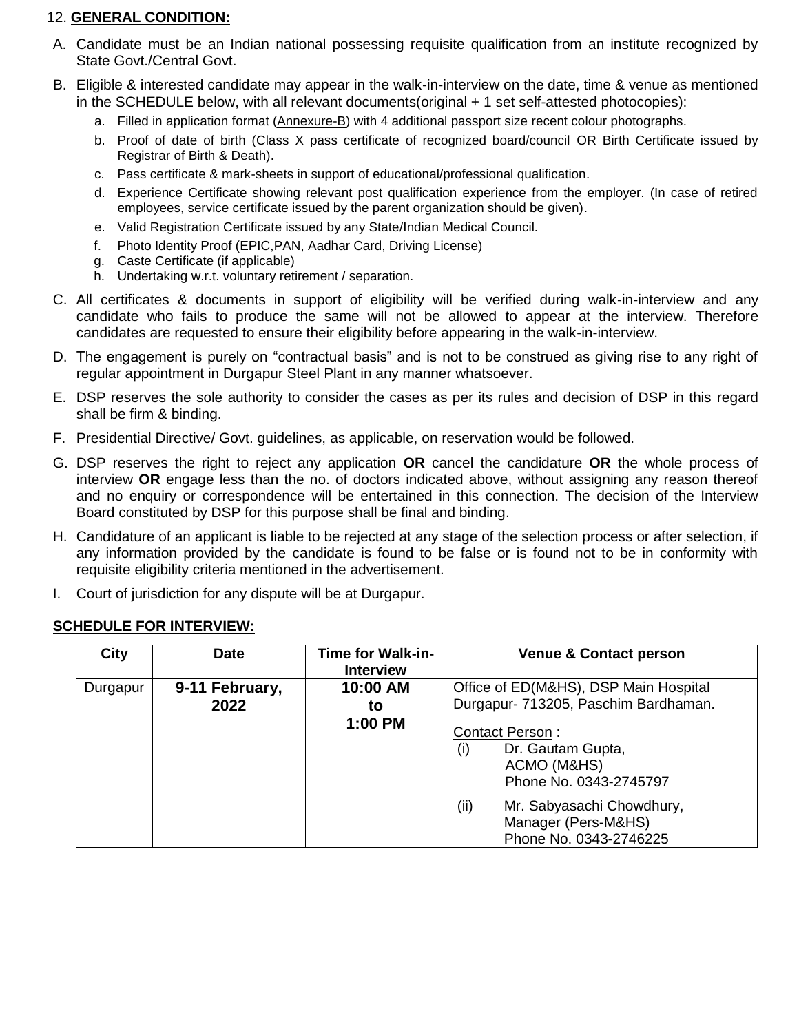### 12. **GENERAL CONDITION:**

- A. Candidate must be an Indian national possessing requisite qualification from an institute recognized by State Govt./Central Govt.
- B. Eligible & interested candidate may appear in the walk-in-interview on the date, time & venue as mentioned in the SCHEDULE below, with all relevant documents(original + 1 set self-attested photocopies):
	- a. Filled in application format (Annexure-B) with 4 additional passport size recent colour photographs.
	- b. Proof of date of birth (Class X pass certificate of recognized board/council OR Birth Certificate issued by Registrar of Birth & Death).
	- c. Pass certificate & mark-sheets in support of educational/professional qualification.
	- d. Experience Certificate showing relevant post qualification experience from the employer. (In case of retired employees, service certificate issued by the parent organization should be given).
	- e. Valid Registration Certificate issued by any State/Indian Medical Council.
	- f. Photo Identity Proof (EPIC,PAN, Aadhar Card, Driving License)
	- g. Caste Certificate (if applicable)
	- h. Undertaking w.r.t. voluntary retirement / separation.
- C. All certificates & documents in support of eligibility will be verified during walk-in-interview and any candidate who fails to produce the same will not be allowed to appear at the interview. Therefore candidates are requested to ensure their eligibility before appearing in the walk-in-interview.
- D. The engagement is purely on "contractual basis" and is not to be construed as giving rise to any right of regular appointment in Durgapur Steel Plant in any manner whatsoever.
- E. DSP reserves the sole authority to consider the cases as per its rules and decision of DSP in this regard shall be firm & binding.
- F. Presidential Directive/ Govt. guidelines, as applicable, on reservation would be followed.
- G. DSP reserves the right to reject any application **OR** cancel the candidature **OR** the whole process of interview **OR** engage less than the no. of doctors indicated above, without assigning any reason thereof and no enquiry or correspondence will be entertained in this connection. The decision of the Interview Board constituted by DSP for this purpose shall be final and binding.
- H. Candidature of an applicant is liable to be rejected at any stage of the selection process or after selection, if any information provided by the candidate is found to be false or is found not to be in conformity with requisite eligibility criteria mentioned in the advertisement.
- I. Court of jurisdiction for any dispute will be at Durgapur.

|  | <b>SCHEDULE FOR INTERVIEW:</b> |
|--|--------------------------------|
|  |                                |

| <b>City</b> | <b>Date</b>    | <b>Time for Walk-in-</b><br><b>Interview</b> | <b>Venue &amp; Contact person</b>                                                           |
|-------------|----------------|----------------------------------------------|---------------------------------------------------------------------------------------------|
| Durgapur    | 9-11 February, | 10:00 AM                                     | Office of ED(M&HS), DSP Main Hospital                                                       |
|             | 2022           | to                                           | Durgapur- 713205, Paschim Bardhaman.                                                        |
|             |                | 1:00 PM                                      | <b>Contact Person:</b><br>Dr. Gautam Gupta,<br>(i)<br>ACMO (M&HS)<br>Phone No. 0343-2745797 |
|             |                |                                              | (ii)<br>Mr. Sabyasachi Chowdhury,<br>Manager (Pers-M&HS)<br>Phone No. 0343-2746225          |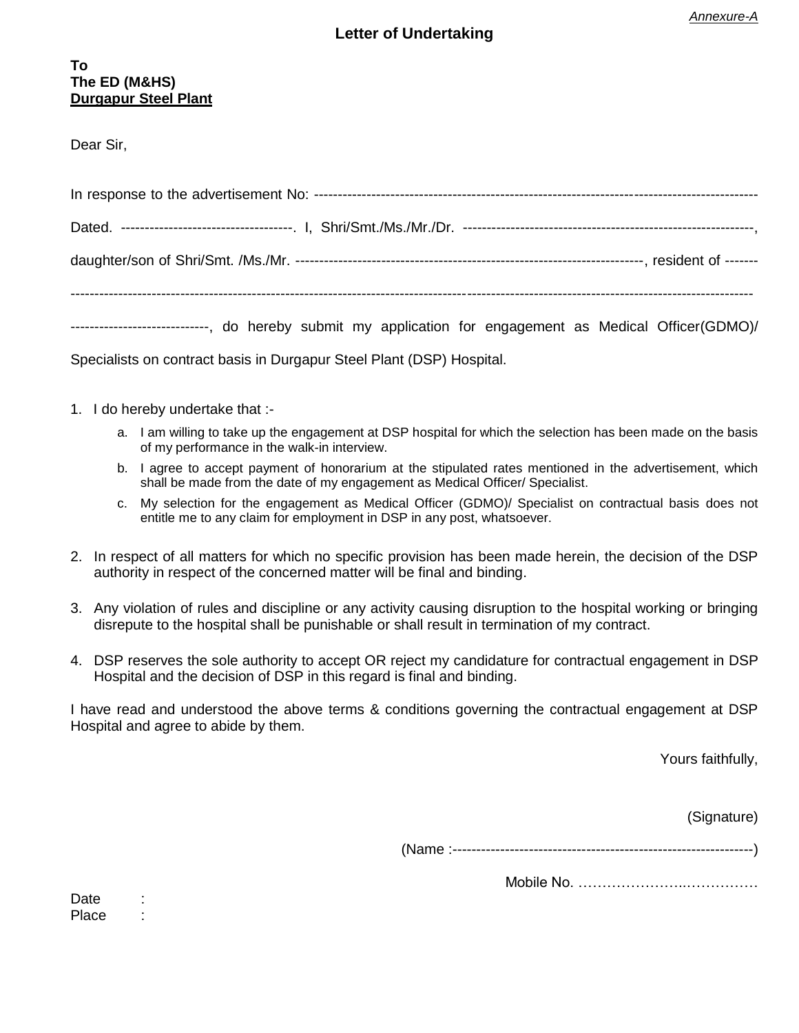### **Letter of Undertaking**

Dear Sir,

| ----------------------------, do hereby submit my application for engagement as Medical Officer(GDMO)/ |  |  |  |  |  |  |  |  |  |  |  |
|--------------------------------------------------------------------------------------------------------|--|--|--|--|--|--|--|--|--|--|--|

Specialists on contract basis in Durgapur Steel Plant (DSP) Hospital.

- 1. I do hereby undertake that :
	- a. I am willing to take up the engagement at DSP hospital for which the selection has been made on the basis of my performance in the walk-in interview.
	- b. I agree to accept payment of honorarium at the stipulated rates mentioned in the advertisement, which shall be made from the date of my engagement as Medical Officer/ Specialist.
	- c. My selection for the engagement as Medical Officer (GDMO)/ Specialist on contractual basis does not entitle me to any claim for employment in DSP in any post, whatsoever.
- 2. In respect of all matters for which no specific provision has been made herein, the decision of the DSP authority in respect of the concerned matter will be final and binding.
- 3. Any violation of rules and discipline or any activity causing disruption to the hospital working or bringing disrepute to the hospital shall be punishable or shall result in termination of my contract.
- 4. DSP reserves the sole authority to accept OR reject my candidature for contractual engagement in DSP Hospital and the decision of DSP in this regard is final and binding.

I have read and understood the above terms & conditions governing the contractual engagement at DSP Hospital and agree to abide by them.

Yours faithfully,

(Signature)

(Name :---------------------------------------------------------------)

Mobile No. …………………..……………

Date : Place :